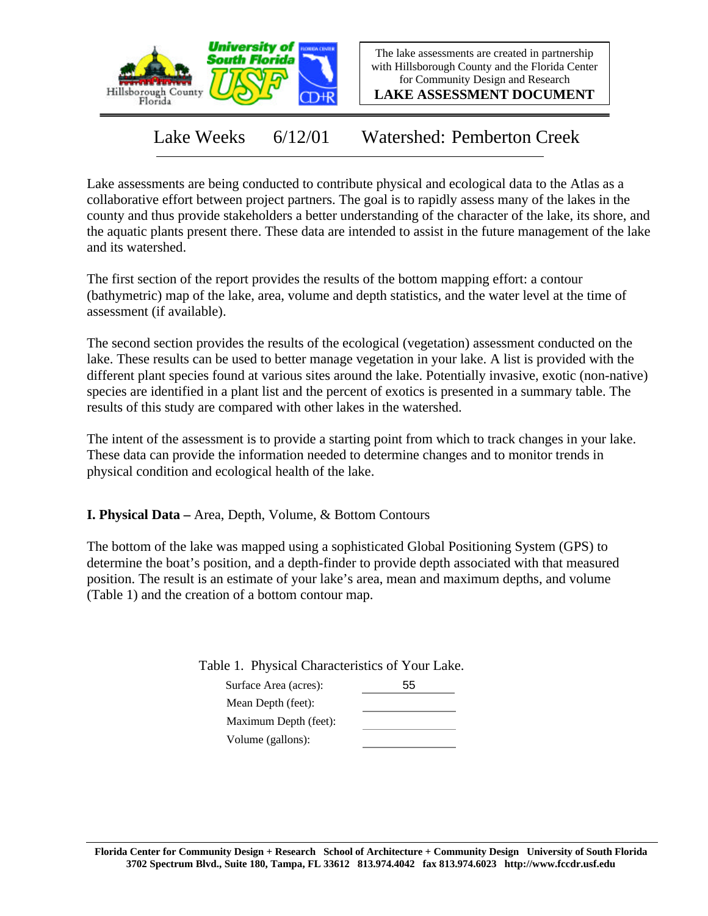

The lake assessments are created in partnership with Hillsborough County and the Florida Center for Community Design and Research

**LAKE ASSESSMENT DOCUMENT**

Lake Weeks 6/12/01 Watershed: Pemberton Creek

Lake assessments are being conducted to contribute physical and ecological data to the Atlas as a collaborative effort between project partners. The goal is to rapidly assess many of the lakes in the county and thus provide stakeholders a better understanding of the character of the lake, its shore, and the aquatic plants present there. These data are intended to assist in the future management of the lake and its watershed.

The first section of the report provides the results of the bottom mapping effort: a contour (bathymetric) map of the lake, area, volume and depth statistics, and the water level at the time of assessment (if available).

The second section provides the results of the ecological (vegetation) assessment conducted on the lake. These results can be used to better manage vegetation in your lake. A list is provided with the different plant species found at various sites around the lake. Potentially invasive, exotic (non-native) species are identified in a plant list and the percent of exotics is presented in a summary table. The results of this study are compared with other lakes in the watershed.

The intent of the assessment is to provide a starting point from which to track changes in your lake. These data can provide the information needed to determine changes and to monitor trends in physical condition and ecological health of the lake.

**I. Physical Data –** Area, Depth, Volume, & Bottom Contours

The bottom of the lake was mapped using a sophisticated Global Positioning System (GPS) to determine the boat's position, and a depth-finder to provide depth associated with that measured position. The result is an estimate of your lake's area, mean and maximum depths, and volume (Table 1) and the creation of a bottom contour map.

Table 1. Physical Characteristics of Your Lake.

| Surface Area (acres): | 55 |
|-----------------------|----|
| Mean Depth (feet):    |    |
| Maximum Depth (feet): |    |
| Volume (gallons):     |    |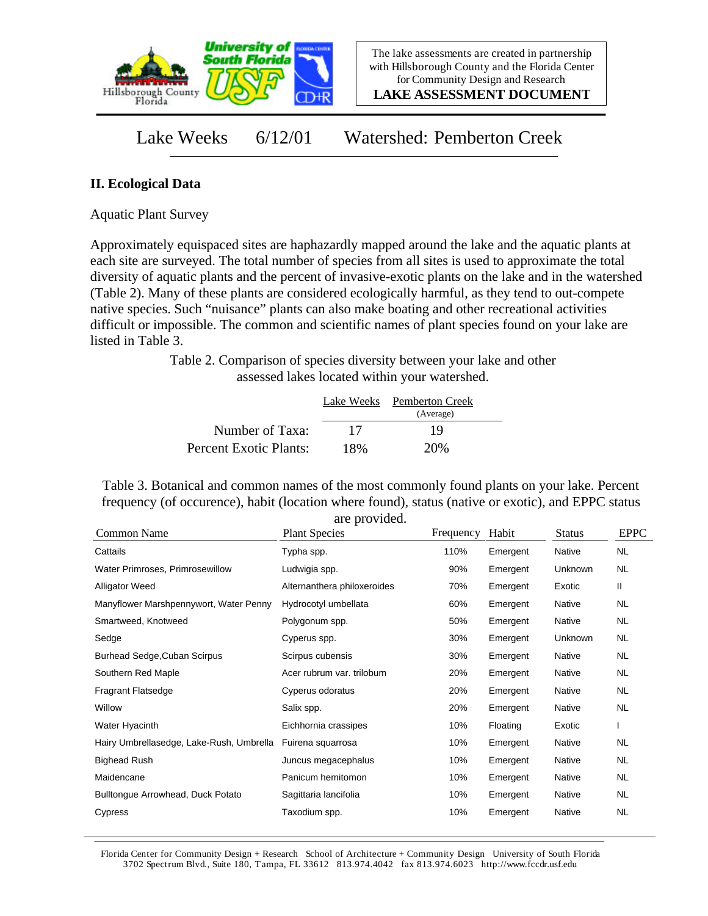

**LAKE ASSESSMENT DOCUMENT**

## Lake Weeks 6/12/01 Watershed: Pemberton Creek

## **II. Ecological Data**

Aquatic Plant Survey

Approximately equispaced sites are haphazardly mapped around the lake and the aquatic plants at each site are surveyed. The total number of species from all sites is used to approximate the total diversity of aquatic plants and the percent of invasive-exotic plants on the lake and in the watershed (Table 2). Many of these plants are considered ecologically harmful, as they tend to out-compete native species. Such "nuisance" plants can also make boating and other recreational activities difficult or impossible. The common and scientific names of plant species found on your lake are listed in Table 3.

> Table 2. Comparison of species diversity between your lake and other assessed lakes located within your watershed.

|                        |     | Lake Weeks Pemberton Creek<br>(Average) |  |
|------------------------|-----|-----------------------------------------|--|
| Number of Taxa:        | 17  | 19                                      |  |
| Percent Exotic Plants: | 18% | 20\%                                    |  |

Table 3. Botanical and common names of the most commonly found plants on your lake. Percent frequency (of occurence), habit (location where found), status (native or exotic), and EPPC status are provided.

| Emergent<br>Emergent<br>Emergent | Native<br>Unknown<br>Exotic | NL<br><b>NL</b> |
|----------------------------------|-----------------------------|-----------------|
|                                  |                             |                 |
|                                  |                             |                 |
|                                  |                             | Ш               |
| Emergent                         | Native                      | NL              |
| Emergent                         | Native                      | <b>NL</b>       |
| Emergent                         | Unknown                     | <b>NL</b>       |
| Emergent                         | Native                      | NL              |
| Emergent                         | Native                      | NL              |
| Emergent                         | Native                      | <b>NL</b>       |
| Emergent                         | Native                      | NL              |
| Floating                         | Exotic                      |                 |
| Emergent                         | Native                      | <b>NL</b>       |
| Emergent                         | Native                      | NL              |
| Emergent                         | Native                      | NL              |
| Emergent                         | Native                      | NL              |
| Emergent                         | Native                      | <b>NL</b>       |
|                                  |                             |                 |

Florida Center for Community Design + Research School of Architecture + Community Design University of South Florida 3702 Spectrum Blvd., Suite 180, Tampa, FL 33612 813.974.4042 fax 813.974.6023 http://www.fccdr.usf.edu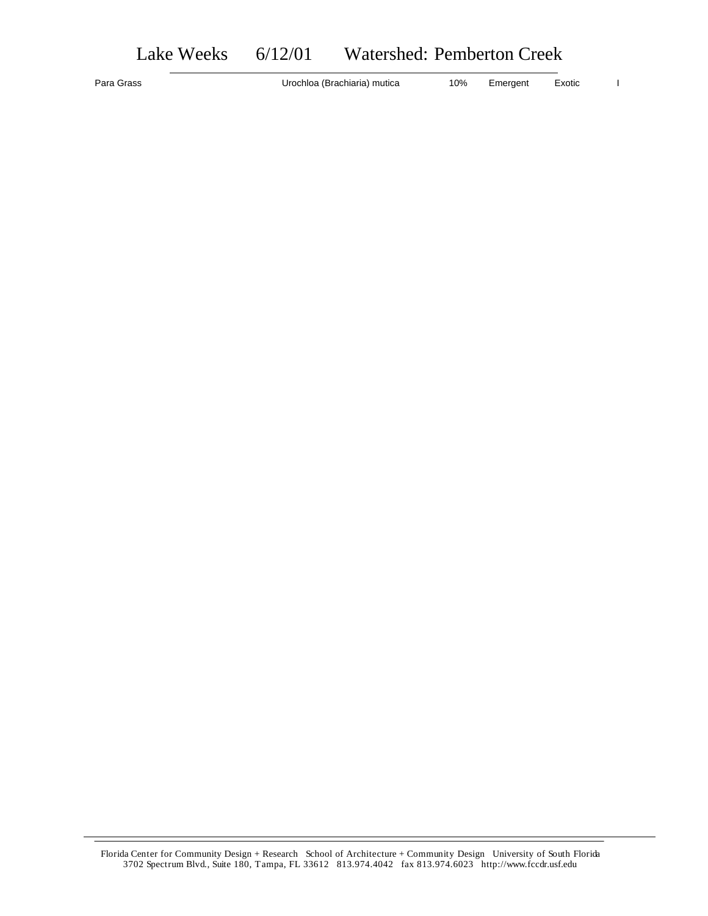Para Grass **Example 2018** Urochloa (Brachiaria) mutica 10% Emergent Exotic I